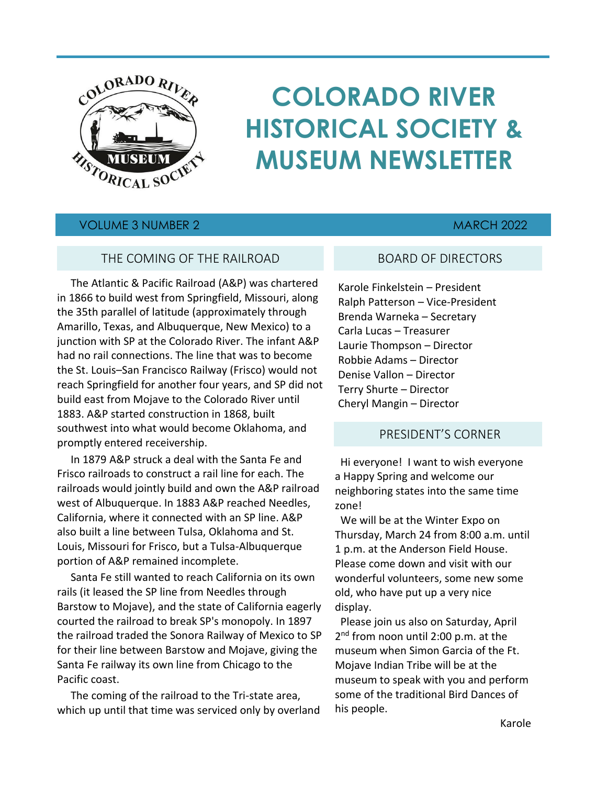

# **COLORADO RIVER HISTORICAL SOCIETY & MUSEUM NEWSLETTER**

# VOLUME 3 NUMBER 2 MARCH 2022

# THE COMING OF THE RAILROAD

 The Atlantic & Pacific Railroad (A&P) was chartered in 1866 to build west from Springfield, Missouri, along the 35th parallel of latitude (approximately through Amarillo, Texas, and Albuquerque, New Mexico) to a junction with SP at the Colorado River. The infant A&P had no rail connections. The line that was to become the St. Louis–San Francisco Railway (Frisco) would not reach Springfield for another four years, and SP did not build east from Mojave to the Colorado River until 1883. A&P started construction in 1868, built southwest into what would become Oklahoma, and promptly entered receivership.

 In 1879 A&P struck a deal with the Santa Fe and Frisco railroads to construct a rail line for each. The railroads would jointly build and own the A&P railroad west of Albuquerque. In 1883 A&P reached Needles, California, where it connected with an SP line. A&P also built a line between Tulsa, Oklahoma and St. Louis, Missouri for Frisco, but a Tulsa-Albuquerque portion of A&P remained incomplete.

 Santa Fe still wanted to reach California on its own rails (it leased the SP line from Needles through Barstow to Mojave), and the state of California eagerly courted the railroad to break SP's monopoly. In 1897 the railroad traded the Sonora Railway of Mexico to SP for their line between Barstow and Mojave, giving the Santa Fe railway its own line from Chicago to the Pacific coast.

 The coming of the railroad to the Tri-state area, which up until that time was serviced only by overland

# BOARD OF DIRECTORS

Karole Finkelstein – President Ralph Patterson – Vice-President Brenda Warneka – Secretary Carla Lucas – Treasurer Laurie Thompson – Director Robbie Adams – Director Denise Vallon – Director Terry Shurte – Director Cheryl Mangin – Director

### PRESIDENT'S CORNER

 Hi everyone! I want to wish everyone a Happy Spring and welcome our neighboring states into the same time zone!

 We will be at the Winter Expo on Thursday, March 24 from 8:00 a.m. until 1 p.m. at the Anderson Field House. Please come down and visit with our wonderful volunteers, some new some old, who have put up a very nice display.

 Please join us also on Saturday, April 2<sup>nd</sup> from noon until 2:00 p.m. at the museum when Simon Garcia of the Ft. Mojave Indian Tribe will be at the museum to speak with you and perform some of the traditional Bird Dances of his people.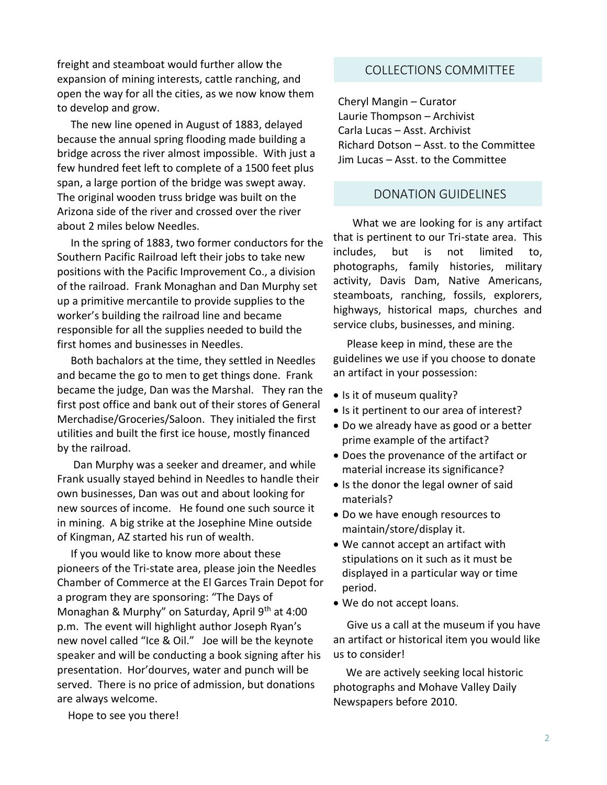freight and steamboat would further allow the expansion of mining interests, cattle ranching, and open the way for all the cities, as we now know them to develop and grow.

 The new line opened in August of 1883, delayed because the annual spring flooding made building a bridge across the river almost impossible. With just a few hundred feet left to complete of a 1500 feet plus span, a large portion of the bridge was swept away. The original wooden truss bridge was built on the Arizona side of the river and crossed over the river about 2 miles below Needles.

 In the spring of 1883, two former conductors for the Southern Pacific Railroad left their jobs to take new positions with the Pacific Improvement Co., a division of the railroad. Frank Monaghan and Dan Murphy set up a primitive mercantile to provide supplies to the worker's building the railroad line and became responsible for all the supplies needed to build the first homes and businesses in Needles.

 Both bachalors at the time, they settled in Needles and became the go to men to get things done. Frank became the judge, Dan was the Marshal. They ran the first post office and bank out of their stores of General Merchadise/Groceries/Saloon. They initialed the first utilities and built the first ice house, mostly financed by the railroad.

 Dan Murphy was a seeker and dreamer, and while Frank usually stayed behind in Needles to handle their own businesses, Dan was out and about looking for new sources of income. He found one such source it in mining. A big strike at the Josephine Mine outside of Kingman, AZ started his run of wealth.

 If you would like to know more about these pioneers of the Tri-state area, please join the Needles Chamber of Commerce at the El Garces Train Depot for a program they are sponsoring: "The Days of Monaghan & Murphy" on Saturday, April 9th at 4:00 p.m. The event will highlight author Joseph Ryan's new novel called "Ice & Oil." Joe will be the keynote speaker and will be conducting a book signing after his presentation. Hor'dourves, water and punch will be served. There is no price of admission, but donations are always welcome.

COLLECTIONS COMMITTEE

Cheryl Mangin – Curator Laurie Thompson – Archivist Carla Lucas – Asst. Archivist Richard Dotson – Asst. to the Committee Jim Lucas – Asst. to the Committee

# DONATION GUIDELINES

 What we are looking for is any artifact that is pertinent to our Tri-state area. This includes, but is not limited to, photographs, family histories, military activity, Davis Dam, Native Americans, steamboats, ranching, fossils, explorers, highways, historical maps, churches and service clubs, businesses, and mining.

 Please keep in mind, these are the guidelines we use if you choose to donate an artifact in your possession:

- Is it of museum quality?
- Is it pertinent to our area of interest?
- Do we already have as good or a better prime example of the artifact?
- Does the provenance of the artifact or material increase its significance?
- Is the donor the legal owner of said materials?
- Do we have enough resources to maintain/store/display it.
- We cannot accept an artifact with stipulations on it such as it must be displayed in a particular way or time period.
- We do not accept loans.

 Give us a call at the museum if you have an artifact or historical item you would like us to consider!

 We are actively seeking local historic photographs and Mohave Valley Daily Newspapers before 2010.

Hope to see you there!